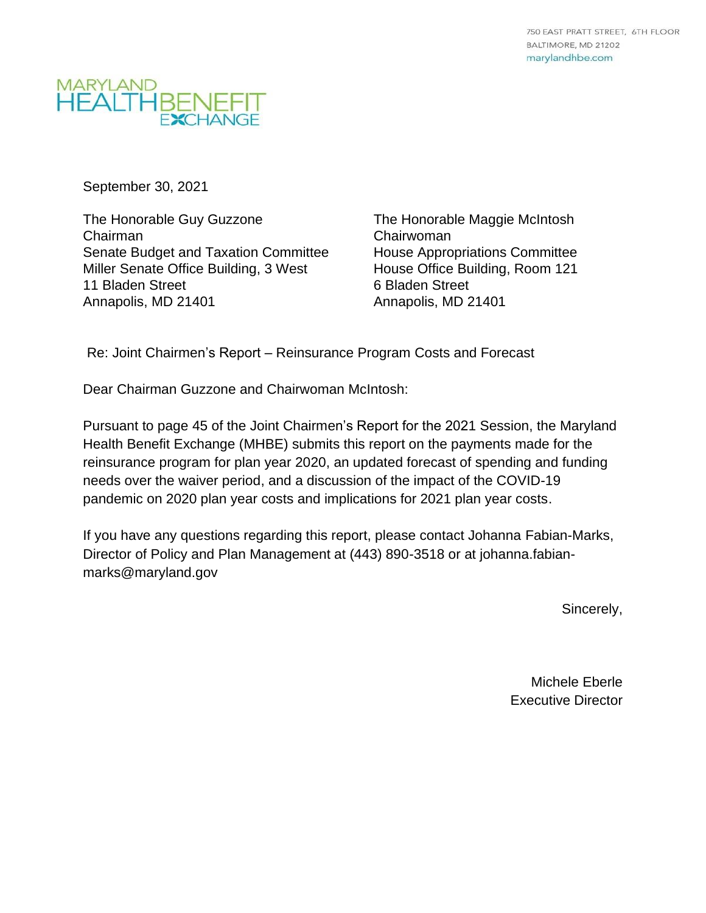

September 30, 2021

The Honorable Guy Guzzone Chairman Senate Budget and Taxation Committee Miller Senate Office Building, 3 West 11 Bladen Street Annapolis, MD 21401

The Honorable Maggie McIntosh Chairwoman House Appropriations Committee House Office Building, Room 121 6 Bladen Street Annapolis, MD 21401

Re: Joint Chairmen's Report – Reinsurance Program Costs and Forecast

Dear Chairman Guzzone and Chairwoman McIntosh:

Pursuant to page 45 of the Joint Chairmen's Report for the 2021 Session, the Maryland Health Benefit Exchange (MHBE) submits this report on the payments made for the reinsurance program for plan year 2020, an updated forecast of spending and funding needs over the waiver period, and a discussion of the impact of the COVID-19 pandemic on 2020 plan year costs and implications for 2021 plan year costs.

If you have any questions regarding this report, please contact Johanna Fabian-Marks, Director of Policy and Plan Management at (443) 890-3518 or at johanna.fabianmarks@maryland.gov

Sincerely,

Michele Eberle Executive Director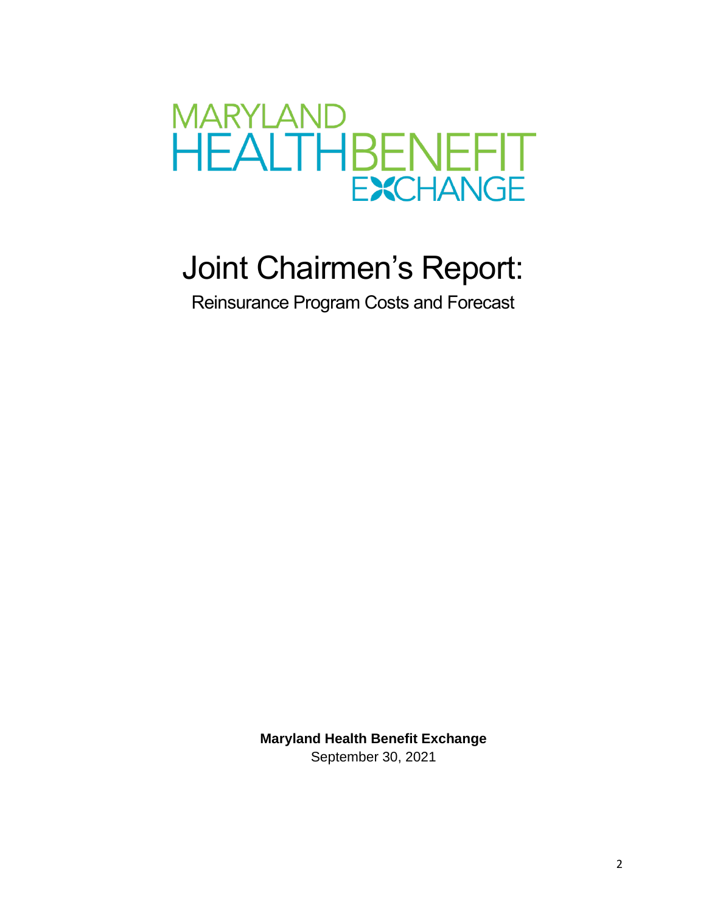

# Joint Chairmen's Report:

Reinsurance Program Costs and Forecast

**Maryland Health Benefit Exchange** September 30, 2021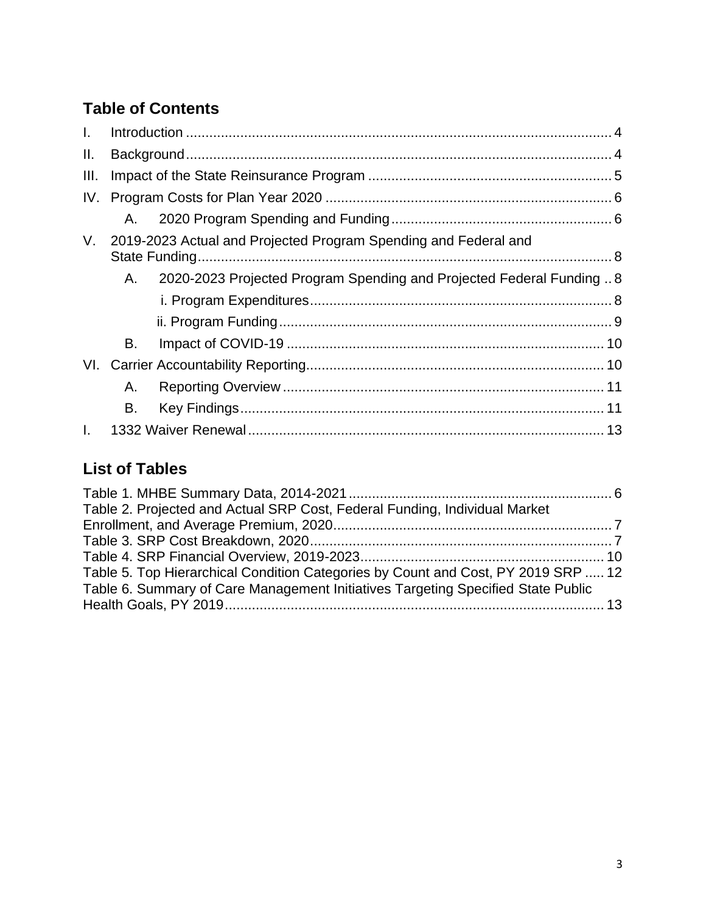## **Table of Contents**

| $\mathbf{L}$ |    |                                                                       |  |
|--------------|----|-----------------------------------------------------------------------|--|
| II.          |    |                                                                       |  |
| III.         |    |                                                                       |  |
| IV.          |    |                                                                       |  |
|              | A. |                                                                       |  |
|              |    | V. 2019-2023 Actual and Projected Program Spending and Federal and    |  |
|              | Α. | 2020-2023 Projected Program Spending and Projected Federal Funding  8 |  |
|              |    |                                                                       |  |
|              |    |                                                                       |  |
|              | В. |                                                                       |  |
|              |    |                                                                       |  |
|              | Α. |                                                                       |  |
|              | В. |                                                                       |  |
| $\mathbf{L}$ |    |                                                                       |  |

### **List of Tables**

| Table 2. Projected and Actual SRP Cost, Federal Funding, Individual Market        |  |
|-----------------------------------------------------------------------------------|--|
|                                                                                   |  |
|                                                                                   |  |
|                                                                                   |  |
| Table 5. Top Hierarchical Condition Categories by Count and Cost, PY 2019 SRP  12 |  |
| Table 6. Summary of Care Management Initiatives Targeting Specified State Public  |  |
|                                                                                   |  |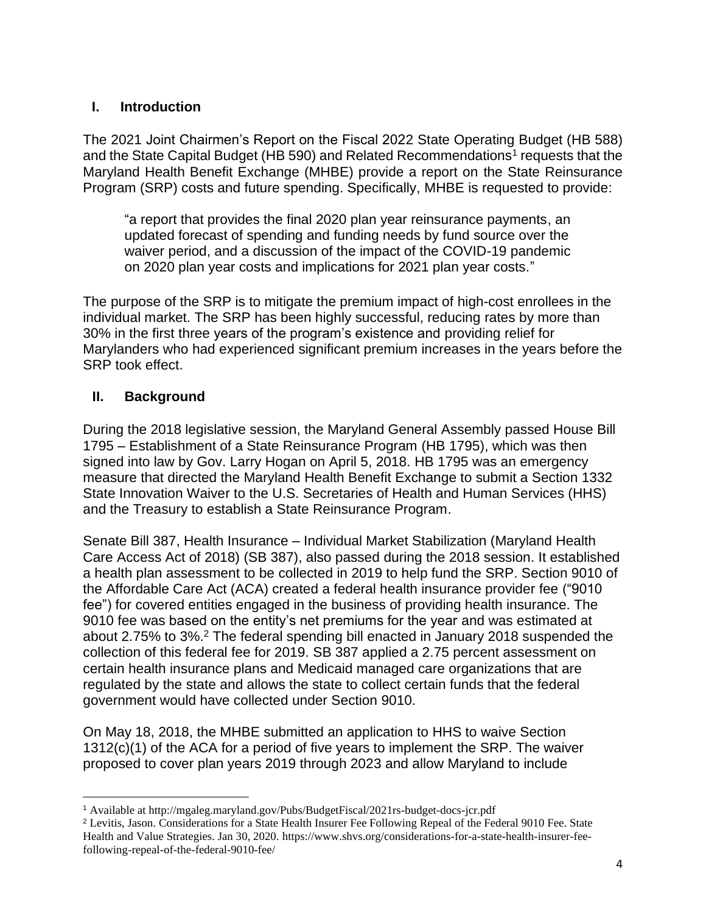#### <span id="page-3-0"></span>**I. Introduction**

The 2021 Joint Chairmen's Report on the Fiscal 2022 State Operating Budget (HB 588) and the State Capital Budget (HB 590) and Related Recommendations<sup>1</sup> requests that the Maryland Health Benefit Exchange (MHBE) provide a report on the State Reinsurance Program (SRP) costs and future spending. Specifically, MHBE is requested to provide:

"a report that provides the final 2020 plan year reinsurance payments, an updated forecast of spending and funding needs by fund source over the waiver period, and a discussion of the impact of the COVID-19 pandemic on 2020 plan year costs and implications for 2021 plan year costs."

The purpose of the SRP is to mitigate the premium impact of high-cost enrollees in the individual market. The SRP has been highly successful, reducing rates by more than 30% in the first three years of the program's existence and providing relief for Marylanders who had experienced significant premium increases in the years before the SRP took effect.

#### <span id="page-3-1"></span>**II. Background**

During the 2018 legislative session, the Maryland General Assembly passed House Bill 1795 – Establishment of a State Reinsurance Program (HB 1795), which was then signed into law by Gov. Larry Hogan on April 5, 2018. HB 1795 was an emergency measure that directed the Maryland Health Benefit Exchange to submit a Section 1332 State Innovation Waiver to the U.S. Secretaries of Health and Human Services (HHS) and the Treasury to establish a State Reinsurance Program.

Senate Bill 387, Health Insurance – Individual Market Stabilization (Maryland Health Care Access Act of 2018) (SB 387), also passed during the 2018 session. It established a health plan assessment to be collected in 2019 to help fund the SRP. Section 9010 of the Affordable Care Act (ACA) created a federal health insurance provider fee ("9010 fee") for covered entities engaged in the business of providing health insurance. The 9010 fee was based on the entity's net premiums for the year and was estimated at about 2.75% to 3%. <sup>2</sup> The federal spending bill enacted in January 2018 suspended the collection of this federal fee for 2019. SB 387 applied a 2.75 percent assessment on certain health insurance plans and Medicaid managed care organizations that are regulated by the state and allows the state to collect certain funds that the federal government would have collected under Section 9010.

On May 18, 2018, the MHBE submitted an application to HHS to waive Section 1312(c)(1) of the ACA for a period of five years to implement the SRP. The waiver proposed to cover plan years 2019 through 2023 and allow Maryland to include

<sup>1</sup> Available at http://mgaleg.maryland.gov/Pubs/BudgetFiscal/2021rs-budget-docs-jcr.pdf

<sup>2</sup> Levitis, Jason. Considerations for a State Health Insurer Fee Following Repeal of the Federal 9010 Fee. State Health and Value Strategies. Jan 30, 2020. https://www.shvs.org/considerations-for-a-state-health-insurer-feefollowing-repeal-of-the-federal-9010-fee/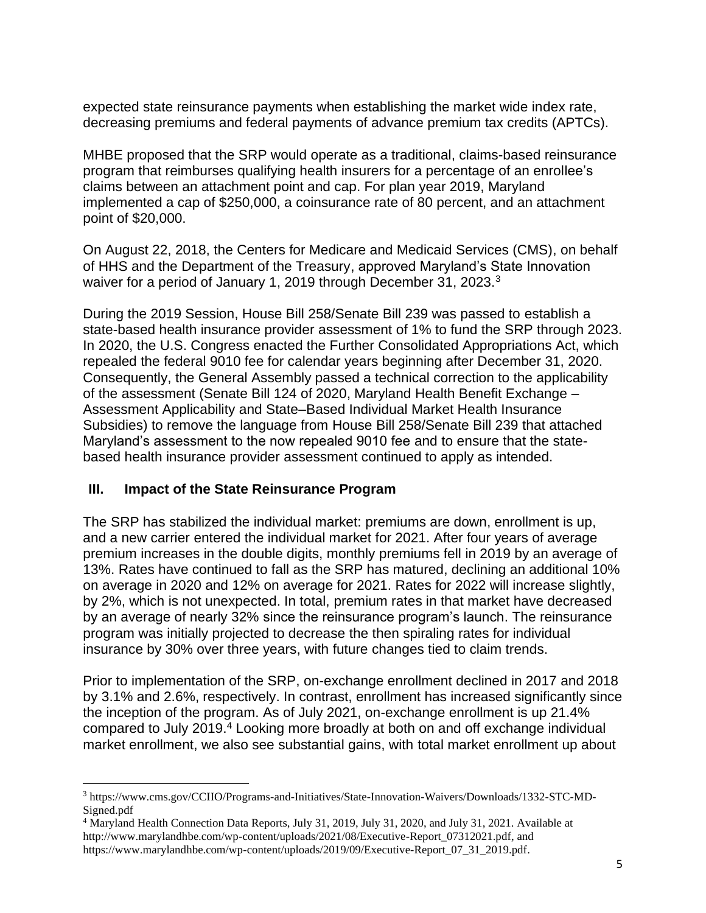expected state reinsurance payments when establishing the market wide index rate, decreasing premiums and federal payments of advance premium tax credits (APTCs).

MHBE proposed that the SRP would operate as a traditional, claims-based reinsurance program that reimburses qualifying health insurers for a percentage of an enrollee's claims between an attachment point and cap. For plan year 2019, Maryland implemented a cap of \$250,000, a coinsurance rate of 80 percent, and an attachment point of \$20,000.

On August 22, 2018, the Centers for Medicare and Medicaid Services (CMS), on behalf of HHS and the Department of the Treasury, approved Maryland's State Innovation waiver for a period of January 1, 2019 through December 31, 2023.<sup>3</sup>

During the 2019 Session, House Bill 258/Senate Bill 239 was passed to establish a state-based health insurance provider assessment of 1% to fund the SRP through 2023. In 2020, the U.S. Congress enacted the Further Consolidated Appropriations Act, which repealed the federal 9010 fee for calendar years beginning after December 31, 2020. Consequently, the General Assembly passed a technical correction to the applicability of the assessment (Senate Bill 124 of 2020, Maryland Health Benefit Exchange – Assessment Applicability and State–Based Individual Market Health Insurance Subsidies) to remove the language from House Bill 258/Senate Bill 239 that attached Maryland's assessment to the now repealed 9010 fee and to ensure that the statebased health insurance provider assessment continued to apply as intended.

#### <span id="page-4-0"></span>**III. Impact of the State Reinsurance Program**

The SRP has stabilized the individual market: premiums are down, enrollment is up, and a new carrier entered the individual market for 2021. After four years of average premium increases in the double digits, monthly premiums fell in 2019 by an average of 13%. Rates have continued to fall as the SRP has matured, declining an additional 10% on average in 2020 and 12% on average for 2021. Rates for 2022 will increase slightly, by 2%, which is not unexpected. In total, premium rates in that market have decreased by an average of nearly 32% since the reinsurance program's launch. The reinsurance program was initially projected to decrease the then spiraling rates for individual insurance by 30% over three years, with future changes tied to claim trends.

Prior to implementation of the SRP, on-exchange enrollment declined in 2017 and 2018 by 3.1% and 2.6%, respectively. In contrast, enrollment has increased significantly since the inception of the program. As of July 2021, on-exchange enrollment is up 21.4% compared to July 2019. <sup>4</sup> Looking more broadly at both on and off exchange individual market enrollment, we also see substantial gains, with total market enrollment up about

<sup>3</sup> https://www.cms.gov/CCIIO/Programs-and-Initiatives/State-Innovation-Waivers/Downloads/1332-STC-MD-Signed.pdf

<sup>4</sup> Maryland Health Connection Data Reports, July 31, 2019, July 31, 2020, and July 31, 2021. Available at http://www.marylandhbe.com/wp-content/uploads/2021/08/Executive-Report\_07312021.pdf, and https://www.marylandhbe.com/wp-content/uploads/2019/09/Executive-Report\_07\_31\_2019.pdf.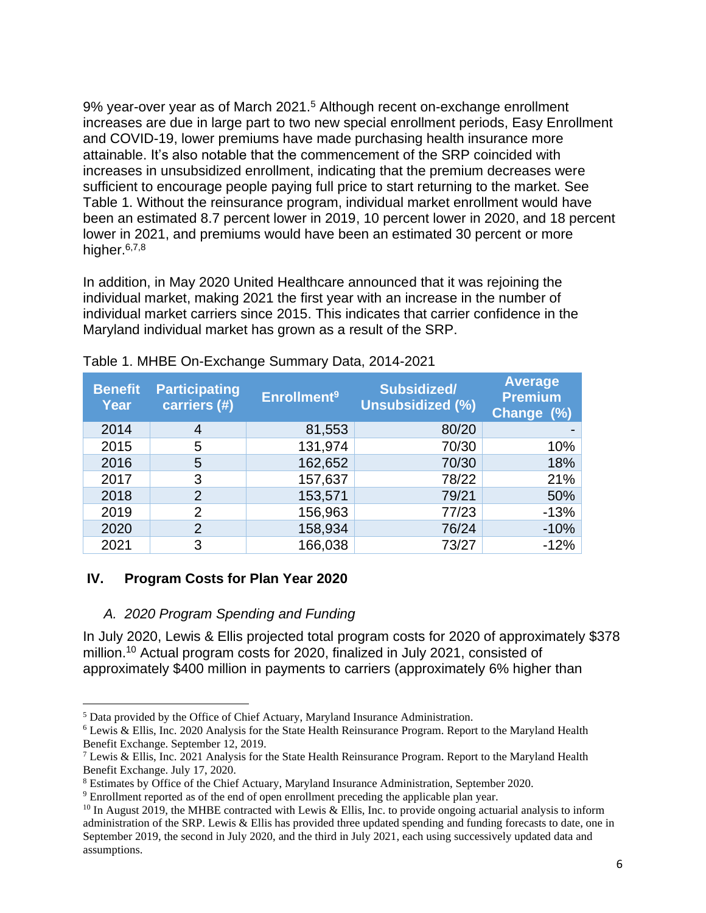9% year-over year as of March 2021.<sup>5</sup> Although recent on-exchange enrollment increases are due in large part to two new special enrollment periods, Easy Enrollment and COVID-19, lower premiums have made purchasing health insurance more attainable. It's also notable that the commencement of the SRP coincided with increases in unsubsidized enrollment, indicating that the premium decreases were sufficient to encourage people paying full price to start returning to the market. See Table 1. Without the reinsurance program, individual market enrollment would have been an estimated 8.7 percent lower in 2019, 10 percent lower in 2020, and 18 percent lower in 2021, and premiums would have been an estimated 30 percent or more higher.<sup>6,7,8</sup>

In addition, in May 2020 United Healthcare announced that it was rejoining the individual market, making 2021 the first year with an increase in the number of individual market carriers since 2015. This indicates that carrier confidence in the Maryland individual market has grown as a result of the SRP.

| <b>Benefit</b><br>Year | <b>Participating</b><br>carriers (#) | <b>Enrollment<sup>9</sup></b> | <b>Subsidized/</b><br><b>Unsubsidized (%)</b> | <b>Average</b><br><b>Premium</b><br>Change (%) |
|------------------------|--------------------------------------|-------------------------------|-----------------------------------------------|------------------------------------------------|
| 2014                   | 4                                    | 81,553                        | 80/20                                         |                                                |
| 2015                   | 5                                    | 131,974                       | 70/30                                         | 10%                                            |
| 2016                   | 5                                    | 162,652                       | 70/30                                         | 18%                                            |
| 2017                   | 3                                    | 157,637                       | 78/22                                         | 21%                                            |
| 2018                   | $\overline{2}$                       | 153,571                       | 79/21                                         | 50%                                            |
| 2019                   | $\overline{2}$                       | 156,963                       | 77/23                                         | $-13%$                                         |
| 2020                   | 2                                    | 158,934                       | 76/24                                         | $-10%$                                         |
| 2021                   | 3                                    | 166,038                       | 73/27                                         | $-12%$                                         |

<span id="page-5-2"></span>Table 1. MHBE On-Exchange Summary Data, 2014-2021

#### <span id="page-5-0"></span>**IV. Program Costs for Plan Year 2020**

#### <span id="page-5-1"></span>*A. 2020 Program Spending and Funding*

In July 2020, Lewis & Ellis projected total program costs for 2020 of approximately \$378 million.<sup>10</sup> Actual program costs for 2020, finalized in July 2021, consisted of approximately \$400 million in payments to carriers (approximately 6% higher than

<sup>5</sup> Data provided by the Office of Chief Actuary, Maryland Insurance Administration.

<sup>6</sup> Lewis & Ellis, Inc. 2020 Analysis for the State Health Reinsurance Program. Report to the Maryland Health Benefit Exchange. September 12, 2019.

<sup>&</sup>lt;sup>7</sup> Lewis & Ellis, Inc. 2021 Analysis for the State Health Reinsurance Program. Report to the Maryland Health Benefit Exchange. July 17, 2020.

<sup>8</sup> Estimates by Office of the Chief Actuary, Maryland Insurance Administration, September 2020.

<sup>9</sup> Enrollment reported as of the end of open enrollment preceding the applicable plan year.

 $10$  In August 2019, the MHBE contracted with Lewis & Ellis, Inc. to provide ongoing actuarial analysis to inform administration of the SRP. Lewis & Ellis has provided three updated spending and funding forecasts to date, one in September 2019, the second in July 2020, and the third in July 2021, each using successively updated data and assumptions.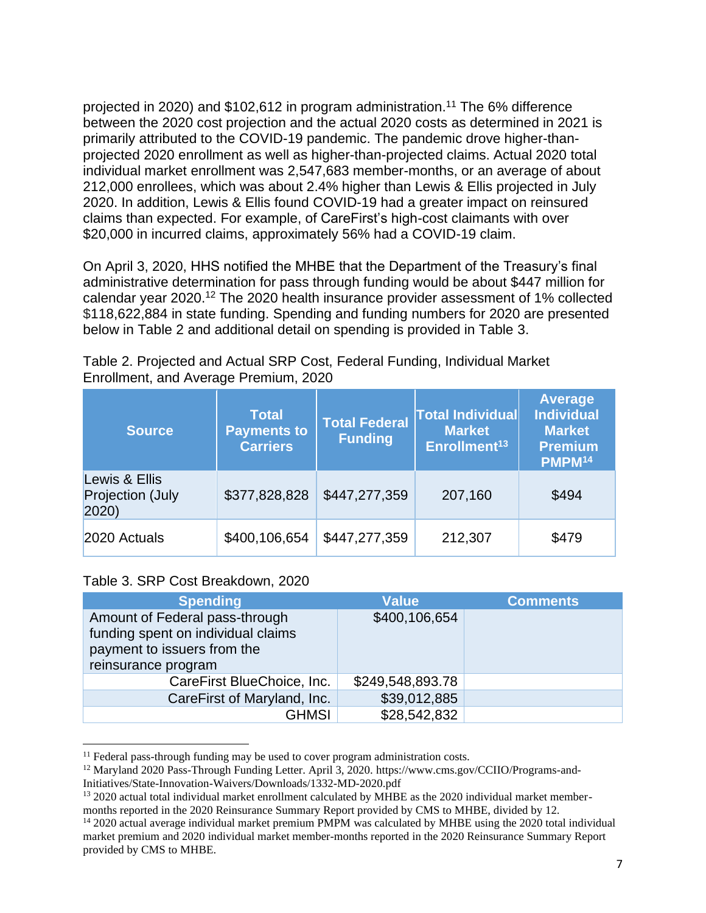projected in 2020) and \$102,612 in program administration.<sup>11</sup> The 6% difference between the 2020 cost projection and the actual 2020 costs as determined in 2021 is primarily attributed to the COVID-19 pandemic. The pandemic drove higher-thanprojected 2020 enrollment as well as higher-than-projected claims. Actual 2020 total individual market enrollment was 2,547,683 member-months, or an average of about 212,000 enrollees, which was about 2.4% higher than Lewis & Ellis projected in July 2020. In addition, Lewis & Ellis found COVID-19 had a greater impact on reinsured claims than expected. For example, of CareFirst's high-cost claimants with over \$20,000 in incurred claims, approximately 56% had a COVID-19 claim.

On April 3, 2020, HHS notified the MHBE that the Department of the Treasury's final administrative determination for pass through funding would be about \$447 million for calendar year 2020.<sup>12</sup> The 2020 health insurance provider assessment of 1% collected \$118,622,884 in state funding. Spending and funding numbers for 2020 are presented below in Table 2 and additional detail on spending is provided in Table 3.

<span id="page-6-0"></span>

| Table 2. Projected and Actual SRP Cost, Federal Funding, Individual Market |  |  |
|----------------------------------------------------------------------------|--|--|
| Enrollment, and Average Premium, 2020                                      |  |  |

| <b>Source</b>                                    | <b>Total</b><br><b>Payments to</b><br><b>Carriers</b> | <b>Total Federal</b><br><b>Funding</b> | <b>Total Individual</b><br><b>Market</b><br>Enrollment <sup>13</sup> | Average<br><b>Individual</b><br><b>Market</b><br><b>Premium</b><br>PMPM <sup>14</sup> |
|--------------------------------------------------|-------------------------------------------------------|----------------------------------------|----------------------------------------------------------------------|---------------------------------------------------------------------------------------|
| Lewis & Ellis<br><b>Projection (July</b><br>2020 | \$377,828,828                                         | \$447,277,359                          | 207,160                                                              | \$494                                                                                 |
| 2020 Actuals                                     | \$400,106,654                                         | \$447,277,359                          | 212,307                                                              | \$479                                                                                 |

#### <span id="page-6-1"></span>Table 3. SRP Cost Breakdown, 2020

| <b>Spending</b>                                                                                                            | <b>Value</b>     | <b>Comments</b> |
|----------------------------------------------------------------------------------------------------------------------------|------------------|-----------------|
| Amount of Federal pass-through<br>funding spent on individual claims<br>payment to issuers from the<br>reinsurance program | \$400,106,654    |                 |
| CareFirst BlueChoice, Inc.                                                                                                 | \$249,548,893.78 |                 |
| CareFirst of Maryland, Inc.                                                                                                | \$39,012,885     |                 |
| <b>GHMSI</b>                                                                                                               | \$28,542,832     |                 |

 $11$  Federal pass-through funding may be used to cover program administration costs.

<sup>12</sup> Maryland 2020 Pass-Through Funding Letter. April 3, 2020. https://www.cms.gov/CCIIO/Programs-and-Initiatives/State-Innovation-Waivers/Downloads/1332-MD-2020.pdf

<sup>&</sup>lt;sup>13</sup> 2020 actual total individual market enrollment calculated by MHBE as the 2020 individual market membermonths reported in the 2020 Reinsurance Summary Report provided by CMS to MHBE, divided by 12.

<sup>14</sup> 2020 actual average individual market premium PMPM was calculated by MHBE using the 2020 total individual market premium and 2020 individual market member-months reported in the 2020 Reinsurance Summary Report provided by CMS to MHBE.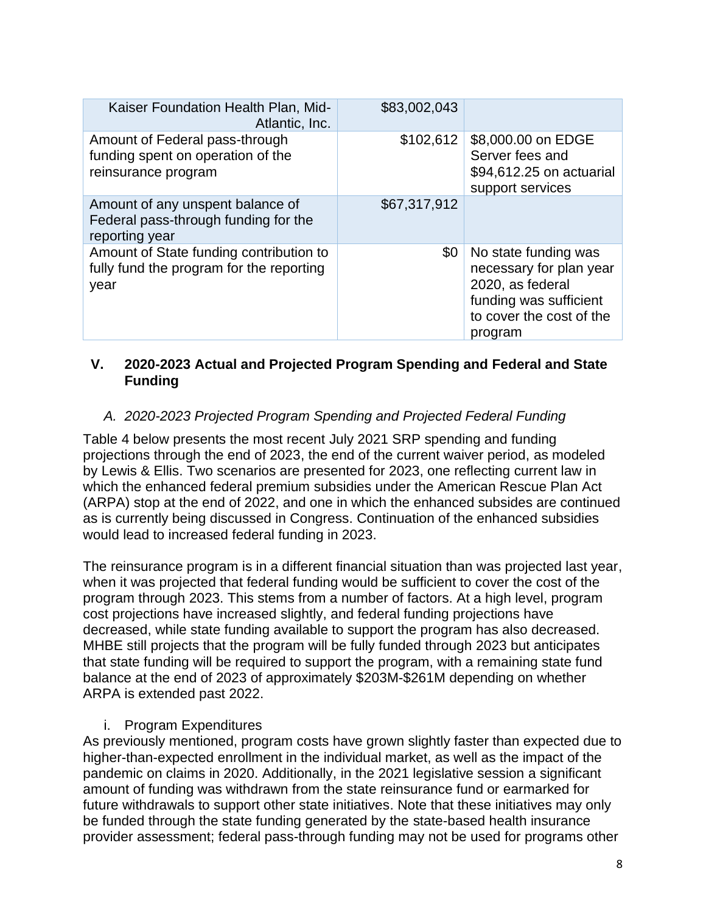| Kaiser Foundation Health Plan, Mid-<br>Atlantic, Inc.                                       | \$83,002,043 |                                                                                                                                      |
|---------------------------------------------------------------------------------------------|--------------|--------------------------------------------------------------------------------------------------------------------------------------|
| Amount of Federal pass-through<br>funding spent on operation of the<br>reinsurance program  | \$102,612    | \$8,000.00 on EDGE<br>Server fees and<br>\$94,612.25 on actuarial<br>support services                                                |
| Amount of any unspent balance of<br>Federal pass-through funding for the<br>reporting year  | \$67,317,912 |                                                                                                                                      |
| Amount of State funding contribution to<br>fully fund the program for the reporting<br>year | \$0          | No state funding was<br>necessary for plan year<br>2020, as federal<br>funding was sufficient<br>to cover the cost of the<br>program |

#### <span id="page-7-0"></span>**V. 2020-2023 Actual and Projected Program Spending and Federal and State Funding**

#### <span id="page-7-1"></span>*A. 2020-2023 Projected Program Spending and Projected Federal Funding*

Table 4 below presents the most recent July 2021 SRP spending and funding projections through the end of 2023, the end of the current waiver period, as modeled by Lewis & Ellis. Two scenarios are presented for 2023, one reflecting current law in which the enhanced federal premium subsidies under the American Rescue Plan Act (ARPA) stop at the end of 2022, and one in which the enhanced subsides are continued as is currently being discussed in Congress. Continuation of the enhanced subsidies would lead to increased federal funding in 2023.

The reinsurance program is in a different financial situation than was projected last year, when it was projected that federal funding would be sufficient to cover the cost of the program through 2023. This stems from a number of factors. At a high level, program cost projections have increased slightly, and federal funding projections have decreased, while state funding available to support the program has also decreased. MHBE still projects that the program will be fully funded through 2023 but anticipates that state funding will be required to support the program, with a remaining state fund balance at the end of 2023 of approximately \$203M-\$261M depending on whether ARPA is extended past 2022.

#### i. Program Expenditures

<span id="page-7-2"></span>As previously mentioned, program costs have grown slightly faster than expected due to higher-than-expected enrollment in the individual market, as well as the impact of the pandemic on claims in 2020. Additionally, in the 2021 legislative session a significant amount of funding was withdrawn from the state reinsurance fund or earmarked for future withdrawals to support other state initiatives. Note that these initiatives may only be funded through the state funding generated by the state-based health insurance provider assessment; federal pass-through funding may not be used for programs other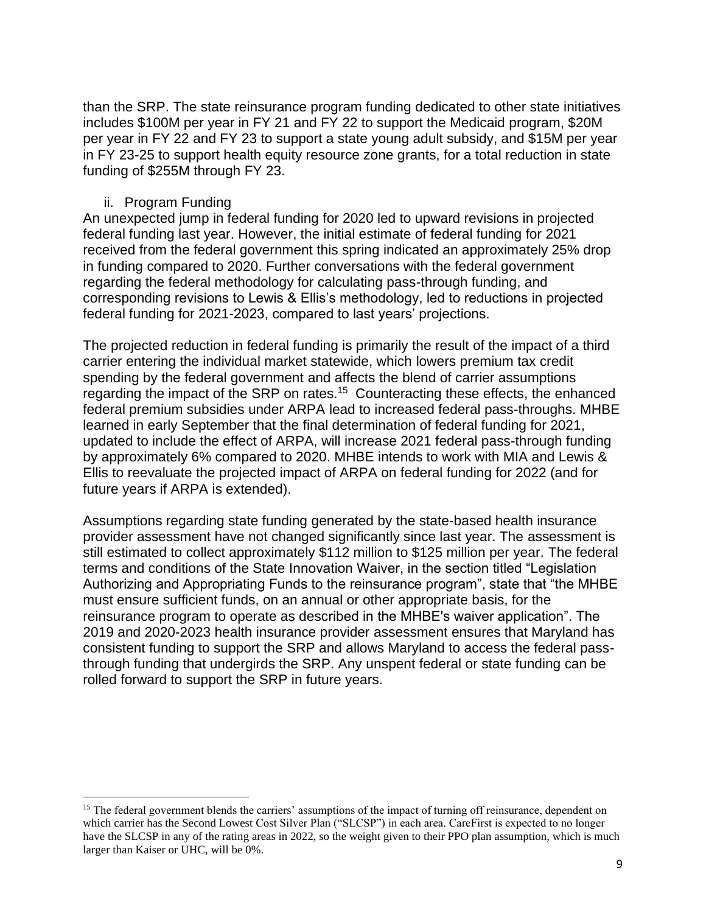than the SRP. The state reinsurance program funding dedicated to other state initiatives includes \$100M per year in FY 21 and FY 22 to support the Medicaid program, \$20M per year in FY 22 and FY 23 to support a state young adult subsidy, and \$15M per year in FY 23-25 to support health equity resource zone grants, for a total reduction in state funding of \$255M through FY 23.

#### ii. Program Funding

<span id="page-8-0"></span>An unexpected jump in federal funding for 2020 led to upward revisions in projected federal funding last year. However, the initial estimate of federal funding for 2021 received from the federal government this spring indicated an approximately 25% drop in funding compared to 2020. Further conversations with the federal government regarding the federal methodology for calculating pass-through funding, and corresponding revisions to Lewis & Ellis's methodology, led to reductions in projected federal funding for 2021-2023, compared to last years' projections.

The projected reduction in federal funding is primarily the result of the impact of a third carrier entering the individual market statewide, which lowers premium tax credit spending by the federal government and affects the blend of carrier assumptions regarding the impact of the SRP on rates.<sup>15</sup> Counteracting these effects, the enhanced federal premium subsidies under ARPA lead to increased federal pass-throughs. MHBE learned in early September that the final determination of federal funding for 2021, updated to include the effect of ARPA, will increase 2021 federal pass-through funding by approximately 6% compared to 2020. MHBE intends to work with MIA and Lewis & Ellis to reevaluate the projected impact of ARPA on federal funding for 2022 (and for future years if ARPA is extended).

Assumptions regarding state funding generated by the state-based health insurance provider assessment have not changed significantly since last year. The assessment is still estimated to collect approximately \$112 million to \$125 million per year. The federal terms and conditions of the State Innovation Waiver, in the section titled "Legislation Authorizing and Appropriating Funds to the reinsurance program", state that "the MHBE must ensure sufficient funds, on an annual or other appropriate basis, for the reinsurance program to operate as described in the MHBE's waiver application". The 2019 and 2020-2023 health insurance provider assessment ensures that Maryland has consistent funding to support the SRP and allows Maryland to access the federal passthrough funding that undergirds the SRP. Any unspent federal or state funding can be rolled forward to support the SRP in future years.

<span id="page-8-1"></span><sup>&</sup>lt;sup>15</sup> The federal government blends the carriers' assumptions of the impact of turning off reinsurance, dependent on which carrier has the Second Lowest Cost Silver Plan ("SLCSP") in each area. CareFirst is expected to no longer have the SLCSP in any of the rating areas in 2022, so the weight given to their PPO plan assumption, which is much larger than Kaiser or UHC, will be 0%.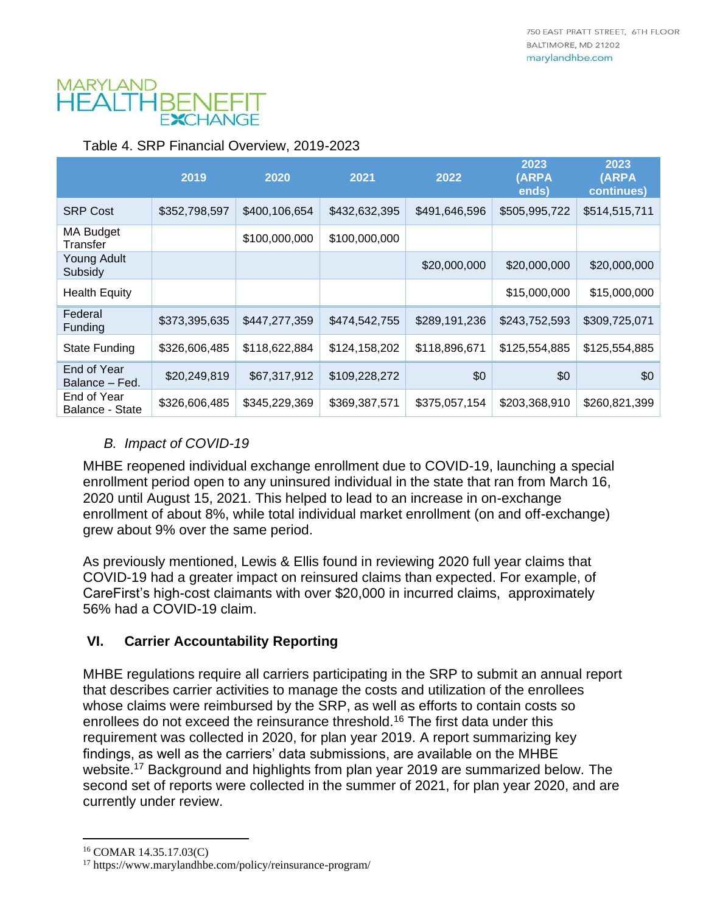# MARYLAND HFALI

#### Table 4. SRP Financial Overview, 2019-2023

|                                | 2019          | 2020          | 2021          | 2022          | 2023<br>(ARPA<br>ends) | 2023<br>(ARPA<br>continues) |
|--------------------------------|---------------|---------------|---------------|---------------|------------------------|-----------------------------|
| <b>SRP Cost</b>                | \$352,798,597 | \$400,106,654 | \$432,632,395 | \$491,646,596 | \$505,995,722          | \$514,515,711               |
| MA Budget<br>Transfer          |               | \$100,000,000 | \$100,000,000 |               |                        |                             |
| Young Adult<br>Subsidy         |               |               |               | \$20,000,000  | \$20,000,000           | \$20,000,000                |
| <b>Health Equity</b>           |               |               |               |               | \$15,000,000           | \$15,000,000                |
| Federal<br>Funding             | \$373,395,635 | \$447,277,359 | \$474,542,755 | \$289,191,236 | \$243,752,593          | \$309,725,071               |
| <b>State Funding</b>           | \$326,606,485 | \$118,622,884 | \$124,158,202 | \$118,896,671 | \$125,554,885          | \$125,554,885               |
| End of Year<br>Balance – Fed.  | \$20,249,819  | \$67,317,912  | \$109,228,272 | \$0           | \$0                    | \$0                         |
| End of Year<br>Balance - State | \$326,606,485 | \$345,229,369 | \$369,387,571 | \$375,057,154 | \$203,368,910          | \$260,821,399               |

#### <span id="page-9-0"></span>*B. Impact of COVID-19*

MHBE reopened individual exchange enrollment due to COVID-19, launching a special enrollment period open to any uninsured individual in the state that ran from March 16, 2020 until August 15, 2021. This helped to lead to an increase in on-exchange enrollment of about 8%, while total individual market enrollment (on and off-exchange) grew about 9% over the same period.

As previously mentioned, Lewis & Ellis found in reviewing 2020 full year claims that COVID-19 had a greater impact on reinsured claims than expected. For example, of CareFirst's high-cost claimants with over \$20,000 in incurred claims, approximately 56% had a COVID-19 claim.

#### <span id="page-9-1"></span>**VI. Carrier Accountability Reporting**

MHBE regulations require all carriers participating in the SRP to submit an annual report that describes carrier activities to manage the costs and utilization of the enrollees whose claims were reimbursed by the SRP, as well as efforts to contain costs so enrollees do not exceed the reinsurance threshold.<sup>16</sup> The first data under this requirement was collected in 2020, for plan year 2019. A report summarizing key findings, as well as the carriers' data submissions, are available on the MHBE website. <sup>17</sup> Background and highlights from plan year 2019 are summarized below. The second set of reports were collected in the summer of 2021, for plan year 2020, and are currently under review.

<sup>16</sup> COMAR 14.35.17.03(C)

<sup>17</sup> https://www.marylandhbe.com/policy/reinsurance-program/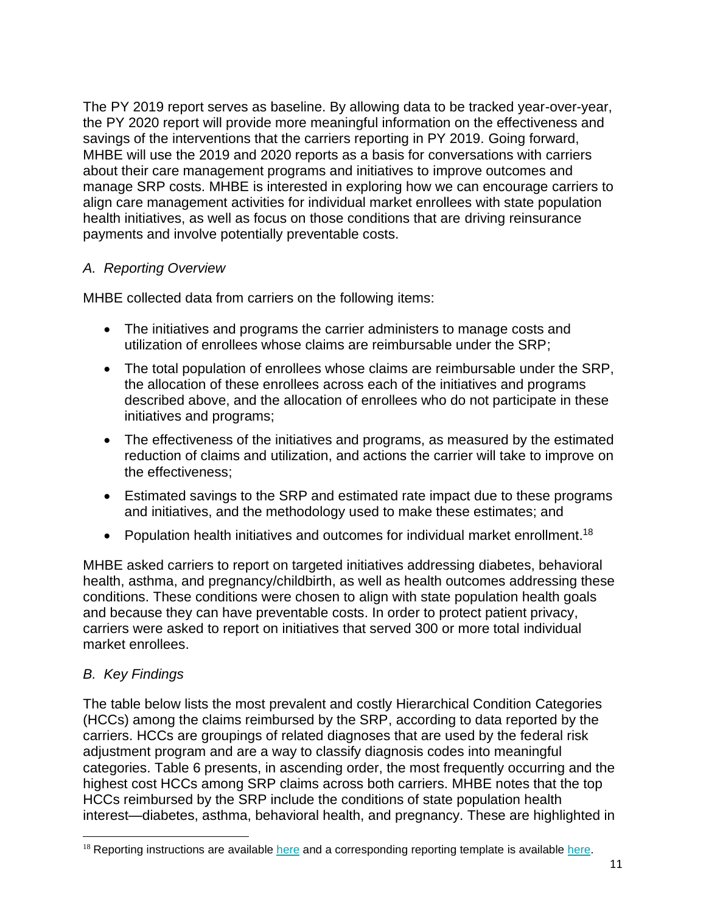The PY 2019 report serves as baseline. By allowing data to be tracked year-over-year, the PY 2020 report will provide more meaningful information on the effectiveness and savings of the interventions that the carriers reporting in PY 2019. Going forward, MHBE will use the 2019 and 2020 reports as a basis for conversations with carriers about their care management programs and initiatives to improve outcomes and manage SRP costs. MHBE is interested in exploring how we can encourage carriers to align care management activities for individual market enrollees with state population health initiatives, as well as focus on those conditions that are driving reinsurance payments and involve potentially preventable costs.

#### <span id="page-10-0"></span>*A. Reporting Overview*

MHBE collected data from carriers on the following items:

- The initiatives and programs the carrier administers to manage costs and utilization of enrollees whose claims are reimbursable under the SRP;
- The total population of enrollees whose claims are reimbursable under the SRP, the allocation of these enrollees across each of the initiatives and programs described above, and the allocation of enrollees who do not participate in these initiatives and programs;
- The effectiveness of the initiatives and programs, as measured by the estimated reduction of claims and utilization, and actions the carrier will take to improve on the effectiveness;
- Estimated savings to the SRP and estimated rate impact due to these programs and initiatives, and the methodology used to make these estimates; and
- Population health initiatives and outcomes for individual market enrollment.<sup>18</sup>

MHBE asked carriers to report on targeted initiatives addressing diabetes, behavioral health, asthma, and pregnancy/childbirth, as well as health outcomes addressing these conditions. These conditions were chosen to align with state population health goals and because they can have preventable costs. In order to protect patient privacy, carriers were asked to report on initiatives that served 300 or more total individual market enrollees.

#### <span id="page-10-1"></span>*B. Key Findings*

The table below lists the most prevalent and costly Hierarchical Condition Categories (HCCs) among the claims reimbursed by the SRP, according to data reported by the carriers. HCCs are groupings of related diagnoses that are used by the federal risk adjustment program and are a way to classify diagnosis codes into meaningful categories. Table 6 presents, in ascending order, the most frequently occurring and the highest cost HCCs among SRP claims across both carriers. MHBE notes that the top HCCs reimbursed by the SRP include the conditions of state population health interest—diabetes, asthma, behavioral health, and pregnancy. These are highlighted in

 $18$  Reporting instructions are available [here](https://www.marylandhbe.com/wp-content/uploads/2021/01/1.-2019-Reinsurance-Program-Carrier-Accountability-Report-Instructions.pdf) and a corresponding reporting template is available [here.](https://www.marylandhbe.com/home/carriers/)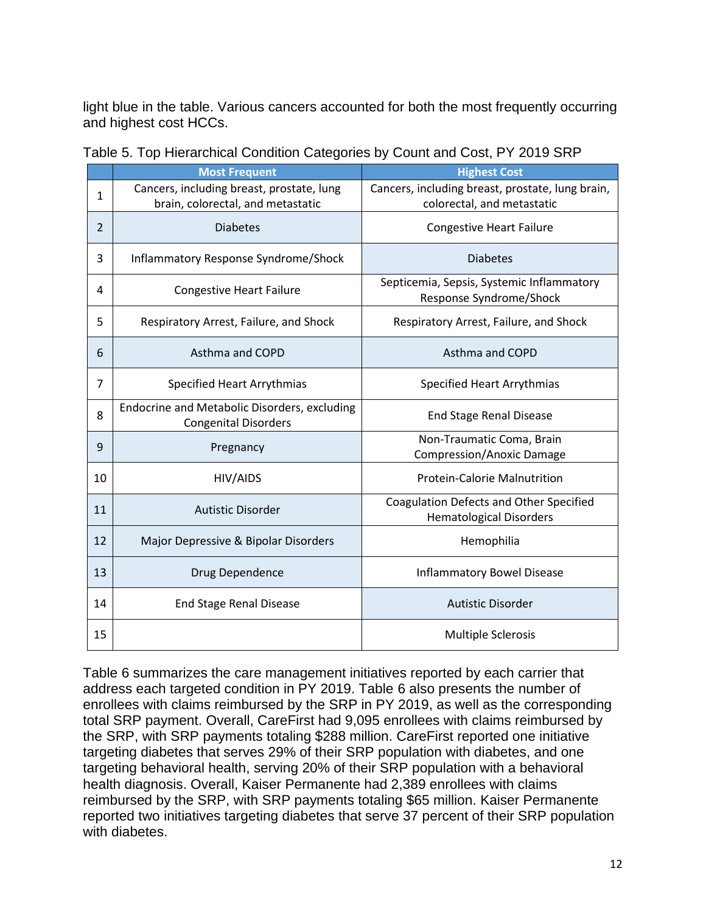light blue in the table. Various cancers accounted for both the most frequently occurring and highest cost HCCs.

|                | <b>Most Frequent</b>                                                           | <b>Highest Cost</b>                                                            |
|----------------|--------------------------------------------------------------------------------|--------------------------------------------------------------------------------|
| $\mathbf{1}$   | Cancers, including breast, prostate, lung<br>brain, colorectal, and metastatic | Cancers, including breast, prostate, lung brain,<br>colorectal, and metastatic |
| $\overline{2}$ | <b>Diabetes</b>                                                                | <b>Congestive Heart Failure</b>                                                |
| 3              | Inflammatory Response Syndrome/Shock                                           | <b>Diabetes</b>                                                                |
| 4              | <b>Congestive Heart Failure</b>                                                | Septicemia, Sepsis, Systemic Inflammatory<br>Response Syndrome/Shock           |
| 5              | Respiratory Arrest, Failure, and Shock                                         | Respiratory Arrest, Failure, and Shock                                         |
| 6              | Asthma and COPD                                                                | Asthma and COPD                                                                |
| $\overline{7}$ | Specified Heart Arrythmias                                                     | <b>Specified Heart Arrythmias</b>                                              |
| 8              | Endocrine and Metabolic Disorders, excluding<br><b>Congenital Disorders</b>    | <b>End Stage Renal Disease</b>                                                 |
| 9              | Pregnancy                                                                      | Non-Traumatic Coma, Brain<br><b>Compression/Anoxic Damage</b>                  |
| 10             | HIV/AIDS                                                                       | <b>Protein-Calorie Malnutrition</b>                                            |
| 11             | <b>Autistic Disorder</b>                                                       | Coagulation Defects and Other Specified<br><b>Hematological Disorders</b>      |
| 12             | Major Depressive & Bipolar Disorders                                           | Hemophilia                                                                     |
| 13             | Drug Dependence                                                                | <b>Inflammatory Bowel Disease</b>                                              |
| 14             | <b>End Stage Renal Disease</b>                                                 | <b>Autistic Disorder</b>                                                       |
| 15             |                                                                                | <b>Multiple Sclerosis</b>                                                      |

<span id="page-11-0"></span>Table 5. Top Hierarchical Condition Categories by Count and Cost, PY 2019 SRP

Table 6 summarizes the care management initiatives reported by each carrier that address each targeted condition in PY 2019. Table 6 also presents the number of enrollees with claims reimbursed by the SRP in PY 2019, as well as the corresponding total SRP payment. Overall, CareFirst had 9,095 enrollees with claims reimbursed by the SRP, with SRP payments totaling \$288 million. CareFirst reported one initiative targeting diabetes that serves 29% of their SRP population with diabetes, and one targeting behavioral health, serving 20% of their SRP population with a behavioral health diagnosis. Overall, Kaiser Permanente had 2,389 enrollees with claims reimbursed by the SRP, with SRP payments totaling \$65 million. Kaiser Permanente reported two initiatives targeting diabetes that serve 37 percent of their SRP population with diabetes.